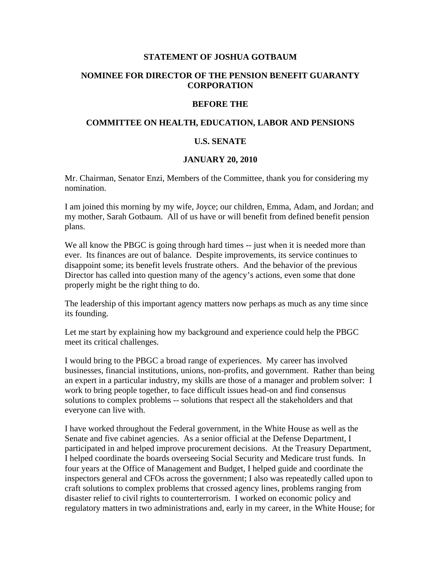# **STATEMENT OF JOSHUA GOTBAUM**

# **NOMINEE FOR DIRECTOR OF THE PENSION BENEFIT GUARANTY CORPORATION**

#### **BEFORE THE**

# **COMMITTEE ON HEALTH, EDUCATION, LABOR AND PENSIONS**

### **U.S. SENATE**

### **JANUARY 20, 2010**

Mr. Chairman, Senator Enzi, Members of the Committee, thank you for considering my nomination.

I am joined this morning by my wife, Joyce; our children, Emma, Adam, and Jordan; and my mother, Sarah Gotbaum. All of us have or will benefit from defined benefit pension plans.

We all know the PBGC is going through hard times -- just when it is needed more than ever. Its finances are out of balance. Despite improvements, its service continues to disappoint some; its benefit levels frustrate others. And the behavior of the previous Director has called into question many of the agency's actions, even some that done properly might be the right thing to do.

The leadership of this important agency matters now perhaps as much as any time since its founding.

Let me start by explaining how my background and experience could help the PBGC meet its critical challenges.

I would bring to the PBGC a broad range of experiences. My career has involved businesses, financial institutions, unions, non-profits, and government. Rather than being an expert in a particular industry, my skills are those of a manager and problem solver: I work to bring people together, to face difficult issues head-on and find consensus solutions to complex problems -- solutions that respect all the stakeholders and that everyone can live with.

I have worked throughout the Federal government, in the White House as well as the Senate and five cabinet agencies. As a senior official at the Defense Department, I participated in and helped improve procurement decisions. At the Treasury Department, I helped coordinate the boards overseeing Social Security and Medicare trust funds. In four years at the Office of Management and Budget, I helped guide and coordinate the inspectors general and CFOs across the government; I also was repeatedly called upon to craft solutions to complex problems that crossed agency lines, problems ranging from disaster relief to civil rights to counterterrorism. I worked on economic policy and regulatory matters in two administrations and, early in my career, in the White House; for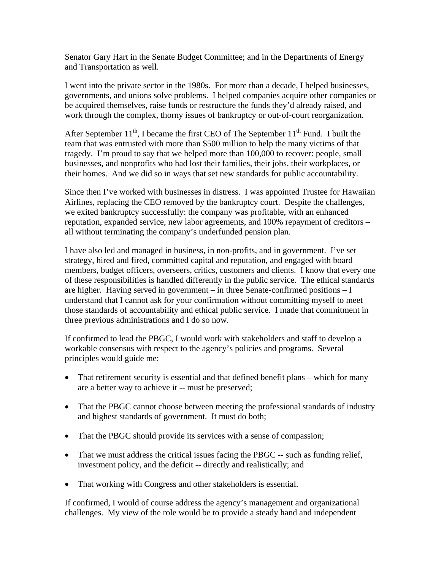Senator Gary Hart in the Senate Budget Committee; and in the Departments of Energy and Transportation as well.

I went into the private sector in the 1980s. For more than a decade, I helped businesses, governments, and unions solve problems. I helped companies acquire other companies or be acquired themselves, raise funds or restructure the funds they'd already raised, and work through the complex, thorny issues of bankruptcy or out-of-court reorganization.

After September  $11<sup>th</sup>$ , I became the first CEO of The September  $11<sup>th</sup>$  Fund. I built the team that was entrusted with more than \$500 million to help the many victims of that tragedy. I'm proud to say that we helped more than 100,000 to recover: people, small businesses, and nonprofits who had lost their families, their jobs, their workplaces, or their homes. And we did so in ways that set new standards for public accountability.

Since then I've worked with businesses in distress. I was appointed Trustee for Hawaiian Airlines, replacing the CEO removed by the bankruptcy court. Despite the challenges, we exited bankruptcy successfully: the company was profitable, with an enhanced reputation, expanded service, new labor agreements, and 100% repayment of creditors – all without terminating the company's underfunded pension plan.

I have also led and managed in business, in non-profits, and in government. I've set strategy, hired and fired, committed capital and reputation, and engaged with board members, budget officers, overseers, critics, customers and clients. I know that every one of these responsibilities is handled differently in the public service. The ethical standards are higher. Having served in government – in three Senate-confirmed positions – I understand that I cannot ask for your confirmation without committing myself to meet those standards of accountability and ethical public service. I made that commitment in three previous administrations and I do so now.

If confirmed to lead the PBGC, I would work with stakeholders and staff to develop a workable consensus with respect to the agency's policies and programs. Several principles would guide me:

- That retirement security is essential and that defined benefit plans which for many are a better way to achieve it -- must be preserved;
- That the PBGC cannot choose between meeting the professional standards of industry and highest standards of government. It must do both;
- That the PBGC should provide its services with a sense of compassion;
- That we must address the critical issues facing the PBGC -- such as funding relief, investment policy, and the deficit -- directly and realistically; and
- That working with Congress and other stakeholders is essential.

If confirmed, I would of course address the agency's management and organizational challenges. My view of the role would be to provide a steady hand and independent